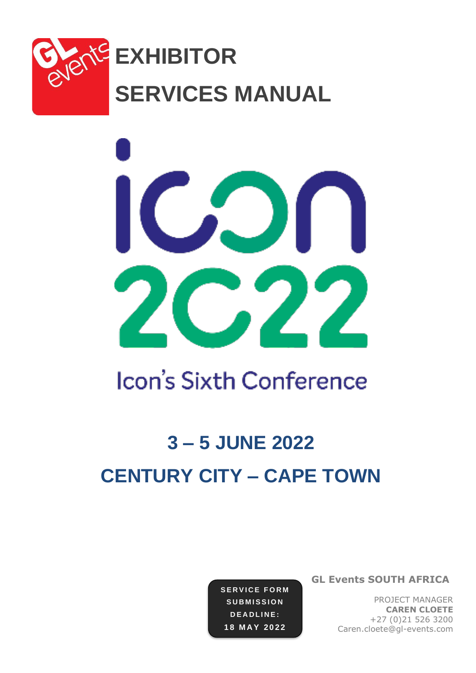



# **Icon's Sixth Conference**

## **3 – 5 JUNE 2022 CENTURY CITY – CAPE TOWN**

**SERVICE FORM S U B M I S S I O N D E A D L I N E : 1 8 M A Y 2 0 2 2**

 **GL Events SOUTH AFRICA** 

PROJECT MANAGER **CAREN CLOETE** +27 (0)21 526 3200 Caren.cloete@gl-events.com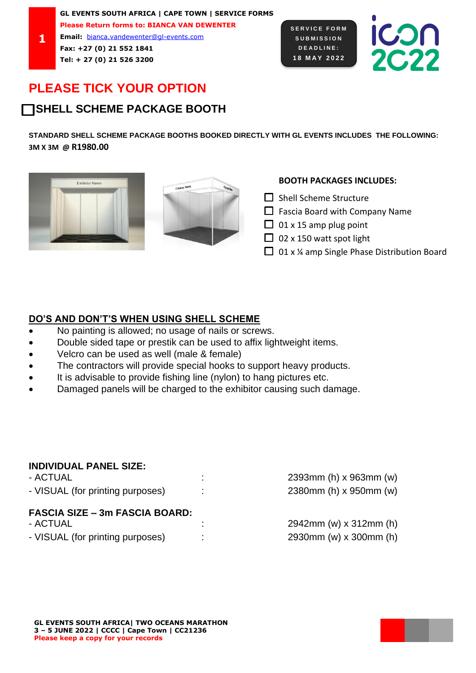**Email:** [bianca.vandewenter@gl-events.com](mailto:bianca.vandewenter@gl-events.com) **Fax: +27 (0) 21 552 1841 Tel: + 27 (0) 21 526 3200**

 **S E R V I C E F O R M S U B M I S S I O N D E A D L I N E : 1 8 M A Y 202 2**

**ICON<br>2C22** 

### **PLEASE TICK YOUR OPTION**

### **SHELL SCHEME PACKAGE BOOTH**

**STANDARD SHELL SCHEME PACKAGE BOOTHS BOOKED DIRECTLY WITH GL EVENTS INCLUDES THE FOLLOWING: 3M X 3M @ R1980.00**



**1**



### **BOOTH PACKAGES INCLUDES:**

- $\Box$  Shell Scheme Structure
- $\Box$  Fascia Board with Company Name
- $\Box$  01 x 15 amp plug point
- $\Box$  02 x 150 watt spot light
- $\Box$  01 x ¼ amp Single Phase Distribution Board

### **DO'S AND DON'T'S WHEN USING SHELL SCHEME**

- No painting is allowed; no usage of nails or screws.
- Double sided tape or prestik can be used to affix lightweight items.
- Velcro can be used as well (male & female)
- The contractors will provide special hooks to support heavy products.
- It is advisable to provide fishing line (nylon) to hang pictures etc.
- Damaged panels will be charged to the exhibitor causing such damage.

### **INDIVIDUAL PANEL SIZE:**

| - ACTUAL                              | 2393mm (h) x 963mm (w)   |
|---------------------------------------|--------------------------|
| - VISUAL (for printing purposes)      | 2380mm (h) $x$ 950mm (w) |
|                                       |                          |
| <b>FASCIA SIZE - 3m FASCIA BOARD:</b> |                          |
| - ACTUAL                              | 2942mm (w) x 312mm (h)   |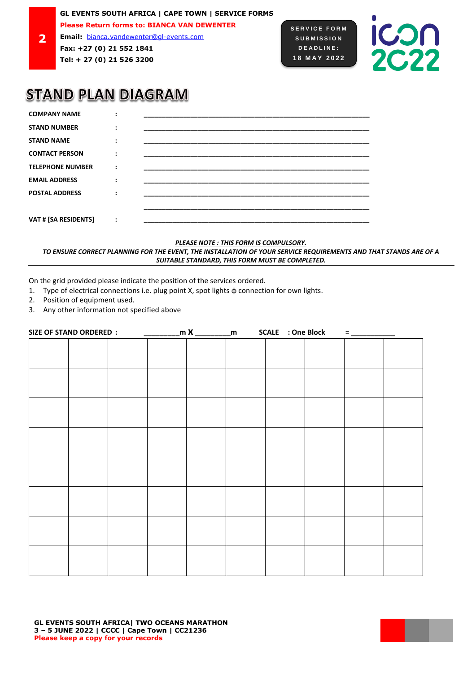**Please Return forms to: BIANCA VAN DEWENTER**

**2 Email:** [bianca.vandewenter@gl-events.com](mailto:bianca.vandewenter@gl-events.com) **Fax: +27 (0) 21 552 1841**

**Tel: + 27 (0) 21 526 3200**

 **S E R V I C E F O R M S U B M I S S I O N D E A D L I N E : 1 8 M A Y 202 2**



### **STAND PLAN DIAGRAM**

| <b>COMPANY NAME</b>     |  |
|-------------------------|--|
| <b>STAND NUMBER</b>     |  |
| <b>STAND NAME</b>       |  |
| <b>CONTACT PERSON</b>   |  |
| <b>TELEPHONE NUMBER</b> |  |
| <b>EMAIL ADDRESS</b>    |  |
| <b>POSTAL ADDRESS</b>   |  |
|                         |  |
| VAT # [SA RESIDENTS]    |  |

#### *PLEASE NOTE : THIS FORM IS COMPULSORY. TO ENSURE CORRECT PLANNING FOR THE EVENT, THE INSTALLATION OF YOUR SERVICE REQUIREMENTS AND THAT STANDS ARE OF A SUITABLE STANDARD, THIS FORM MUST BE COMPLETED.*

On the grid provided please indicate the position of the services ordered.

- 1. Type of electrical connections i.e. plug point X, spot lights ɸ connection for own lights.
- 2. Position of equipment used.
- 3. Any other information not specified above

| SIZE OF STAND ORDERED : |  |  |
|-------------------------|--|--|
|                         |  |  |
|                         |  |  |
|                         |  |  |
|                         |  |  |
|                         |  |  |
|                         |  |  |
|                         |  |  |
|                         |  |  |

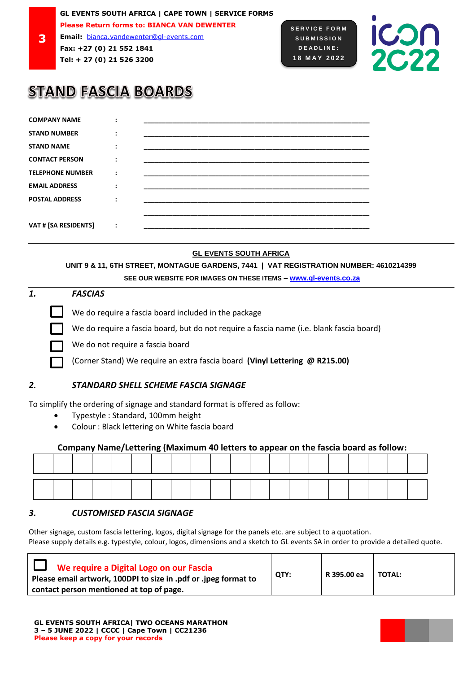**Please Return forms to: BIANCA VAN DEWENTER**

**Email:** [bianca.vandewenter@gl-events.com](mailto:bianca.vandewenter@gl-events.com) **Fax: +27 (0) 21 552 1841**

**Tel: + 27 (0) 21 526 3200**

**3**





## **STAND FASCIA BOARDS**

| <b>COMPANY NAME</b>     | $\blacksquare$              |  |
|-------------------------|-----------------------------|--|
| <b>STAND NUMBER</b>     | $\bullet$                   |  |
| <b>STAND NAME</b>       | $\bullet$<br>$\blacksquare$ |  |
| <b>CONTACT PERSON</b>   | $\blacksquare$              |  |
| <b>TELEPHONE NUMBER</b> | ٠                           |  |
| <b>EMAIL ADDRESS</b>    |                             |  |
| <b>POSTAL ADDRESS</b>   | ٠                           |  |
|                         |                             |  |
| VAT # [SA RESIDENTS]    | ٠                           |  |

### **GL EVENTS SOUTH AFRICA**

**UNIT 9 & 11, 6TH STREET, MONTAGUE GARDENS, 7441 | VAT REGISTRATION NUMBER: 4610214399 SEE OUR WEBSITE FOR IMAGES ON THESE ITEMS – [www.gl-events.co.za](http://www.gl-events.co.za/)**

### *1. FASCIAS*

We do require a fascia board included in the package

We do require a fascia board, but do not require a fascia name (i.e. blank fascia board)

We do not require a fascia board

(Corner Stand) We require an extra fascia board **(Vinyl Lettering @ R215.00)**

### *2. STANDARD SHELL SCHEME FASCIA SIGNAGE*

To simplify the ordering of signage and standard format is offered as follow:

- Typestyle : Standard, 100mm height
- Colour : Black lettering on White fascia board

### **Company Name/Lettering (Maximum 40 letters to appear on the fascia board as follow:**

### *3. CUSTOMISED FASCIA SIGNAGE*

Other signage, custom fascia lettering, logos, digital signage for the panels etc. are subject to a quotation. Please supply details e.g. typestyle, colour, logos, dimensions and a sketch to GL events SA in order to provide a detailed quote.

| We require a Digital Logo on our Fascia<br>Please email artwork, 100DPI to size in .pdf or .jpeg format to<br>contact person mentioned at top of page. | OTY: | R 395.00 ea | <b>TOTAL:</b> |
|--------------------------------------------------------------------------------------------------------------------------------------------------------|------|-------------|---------------|
|--------------------------------------------------------------------------------------------------------------------------------------------------------|------|-------------|---------------|

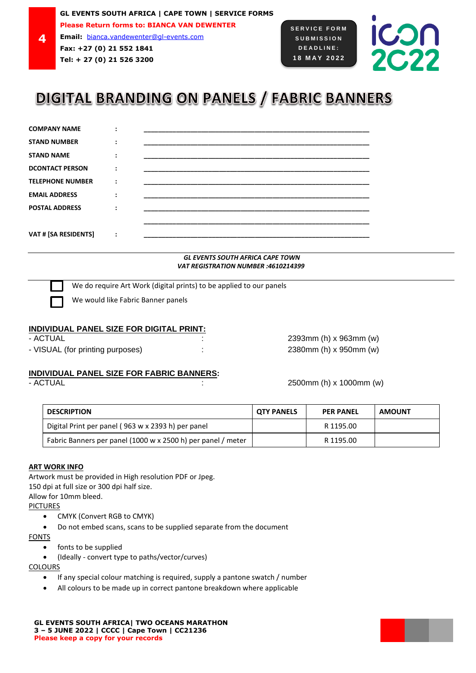**Email:** [bianca.vandewenter@gl-events.com](mailto:bianca.vandewenter@gl-events.com)

**Fax: +27 (0) 21 552 1841 Tel: + 27 (0) 21 526 3200**



### **DIGITAL BRANDING ON PANELS / FABRIC BANNERS**

| <b>COMPANY NAME</b>     |                |  |
|-------------------------|----------------|--|
| <b>STAND NUMBER</b>     |                |  |
| <b>STAND NAME</b>       |                |  |
| <b>DCONTACT PERSON</b>  |                |  |
| <b>TELEPHONE NUMBER</b> |                |  |
| <b>EMAIL ADDRESS</b>    |                |  |
| <b>POSTAL ADDRESS</b>   |                |  |
|                         |                |  |
| VAT # [SA RESIDENTS]    | $\ddot{\cdot}$ |  |

#### *GL EVENTS SOUTH AFRICA CAPE TOWN VAT REGISTRATION NUMBER :4610214399*

We do require Art Work (digital prints) to be applied to our panels

We would like Fabric Banner panels

### **INDIVIDUAL PANEL SIZE FOR DIGITAL PRINT:**

**4**

- VISUAL (for printing purposes) : 2380mm (h) x 950mm (w)

- ACTUAL : 2393mm (h) x 963mm (w)

### **INDIVIDUAL PANEL SIZE FOR FABRIC BANNERS:**

- ACTUAL : 2500mm (h) x 1000mm (w)

| <b>DESCRIPTION</b>                                           | <b>QTY PANELS</b> | <b>PER PANEL</b> | <b>AMOUNT</b> |
|--------------------------------------------------------------|-------------------|------------------|---------------|
| Digital Print per panel (963 w x 2393 h) per panel           |                   | R 1195.00        |               |
| Fabric Banners per panel (1000 w x 2500 h) per panel / meter |                   | R 1195.00        |               |

### **ART WORK INFO**

Artwork must be provided in High resolution PDF or Jpeg. 150 dpi at full size or 300 dpi half size.

Allow for 10mm bleed.

- **PICTURES** 
	- CMYK (Convert RGB to CMYK)
	- Do not embed scans, scans to be supplied separate from the document

### **FONTS**

- fonts to be supplied
- (Ideally convert type to paths/vector/curves)

COLOURS

- If any special colour matching is required, supply a pantone swatch / number
- All colours to be made up in correct pantone breakdown where applicable

**GL EVENTS SOUTH AFRICA| TWO OCEANS MARATHON 3 – 5 JUNE 2022 | CCCC | Cape Town | CC21236 Please keep a copy for your records**

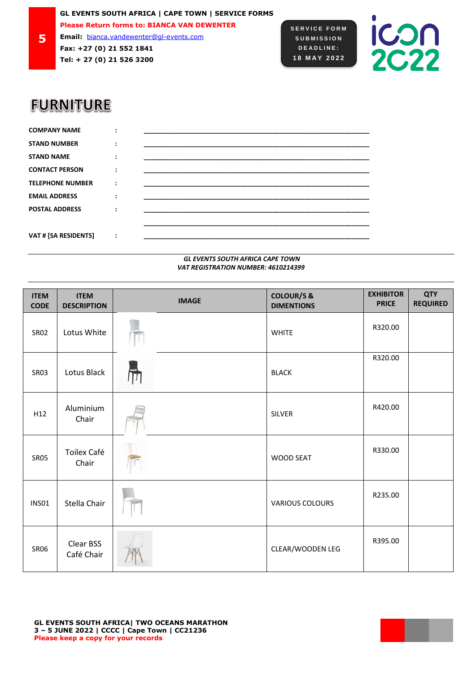**Please Return forms to: BIANCA VAN DEWENTER**

**Email:** [bianca.vandewenter@gl-events.com](mailto:bianca.vandewenter@gl-events.com) **Fax: +27 (0) 21 552 1841**

**Tel: + 27 (0) 21 526 3200**





### **FURNITURE**

**5**

### *GL EVENTS SOUTH AFRICA CAPE TOWN VAT REGISTRATION NUMBER: 4610214399*

| <b>ITEM</b><br><b>CODE</b> | <b>ITEM</b><br><b>DESCRIPTION</b> | <b>IMAGE</b> | <b>COLOUR/S &amp;</b><br><b>DIMENTIONS</b> | <b>EXHIBITOR</b><br><b>PRICE</b> | <b>QTY</b><br><b>REQUIRED</b> |
|----------------------------|-----------------------------------|--------------|--------------------------------------------|----------------------------------|-------------------------------|
| <b>SR02</b>                | Lotus White                       |              | <b>WHITE</b>                               | R320.00                          |                               |
| <b>SR03</b>                | Lotus Black                       |              | <b>BLACK</b>                               | R320.00                          |                               |
| H12                        | Aluminium<br>Chair                |              | <b>SILVER</b>                              | R420.00                          |                               |
| <b>SR05</b>                | Toilex Café<br>Chair              |              | WOOD SEAT                                  | R330.00                          |                               |
| <b>INS01</b>               | Stella Chair                      |              | <b>VARIOUS COLOURS</b>                     | R235.00                          |                               |
| <b>SR06</b>                | Clear BSS<br>Café Chair           |              | CLEAR/WOODEN LEG                           | R395.00                          |                               |

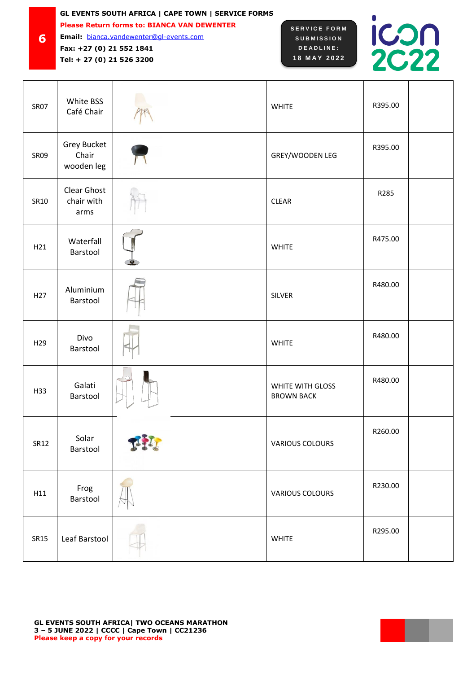**Please Return forms to: BIANCA VAN DEWENTER**

**6 Email:** [bianca.vandewenter@gl-events.com](mailto:bianca.vandewenter@gl-events.com) **Fax: +27 (0) 21 552 1841**

**Tel: + 27 (0) 21 526 3200**

 **S E R V I C E F O R M S U B M I S S I O N D E A D L I N E : 1 8 M A Y 202 2**



| <b>SR07</b>     | White BSS<br>Café Chair            |     | <b>WHITE</b>                          | R395.00 |  |
|-----------------|------------------------------------|-----|---------------------------------------|---------|--|
| <b>SR09</b>     | Grey Bucket<br>Chair<br>wooden leg |     | GREY/WOODEN LEG                       | R395.00 |  |
| SR10            | Clear Ghost<br>chair with<br>arms  |     | <b>CLEAR</b>                          | R285    |  |
| H21             | Waterfall<br>Barstool              |     | <b>WHITE</b>                          | R475.00 |  |
| H <sub>27</sub> | Aluminium<br>Barstool              |     | <b>SILVER</b>                         | R480.00 |  |
| H29             | Divo<br>Barstool                   |     | <b>WHITE</b>                          | R480.00 |  |
| H33             | Galati<br>Barstool                 |     | WHITE WITH GLOSS<br><b>BROWN BACK</b> | R480.00 |  |
| SR12            | Solar<br>Barstool                  | THE | VARIOUS COLOURS                       | R260.00 |  |
| H11             | Frog<br>Barstool                   |     | <b>VARIOUS COLOURS</b>                | R230.00 |  |
| <b>SR15</b>     | Leaf Barstool                      |     | WHITE                                 | R295.00 |  |

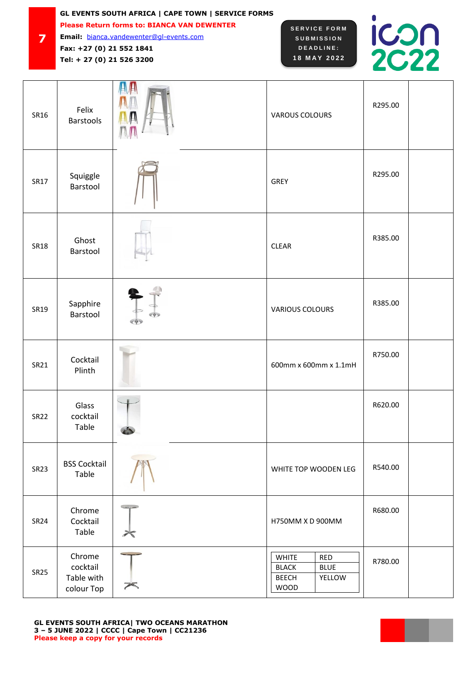**7 GL EVENTS SOUTH AFRICA | CAPE TOWN | SERVICE FORMS Please Return forms to: BIANCA VAN DEWENTER Email:** [bianca.vandewenter@gl-events.com](mailto:bianca.vandewenter@gl-events.com) **S E R V I C E F O R M** 

**Fax: +27 (0) 21 552 1841 Tel: + 27 (0) 21 526 3200**

**S U B M I S S I O N D E A D L I N E : 1 8 M A Y 202 2**



| SR16        | Felix<br>Barstools                             |        | VAROUS COLOURS                                                                                     | R295.00 |  |
|-------------|------------------------------------------------|--------|----------------------------------------------------------------------------------------------------|---------|--|
| <b>SR17</b> | Squiggle<br>Barstool                           |        | R295.00<br>GREY                                                                                    |         |  |
| <b>SR18</b> | Ghost<br>Barstool                              |        | <b>CLEAR</b>                                                                                       | R385.00 |  |
| SR19        | Sapphire<br>Barstool                           |        | <b>VARIOUS COLOURS</b>                                                                             | R385.00 |  |
| SR21        | Cocktail<br>Plinth                             |        | 600mm x 600mm x 1.1mH                                                                              | R750.00 |  |
| <b>SR22</b> | Glass<br>cocktail<br>Table                     |        |                                                                                                    | R620.00 |  |
| <b>SR23</b> | <b>BSS Cocktail</b><br>Table                   |        | WHITE TOP WOODEN LEG                                                                               | R540.00 |  |
| <b>SR24</b> | Chrome<br>Cocktail<br>Table                    |        | H750MM X D 900MM                                                                                   | R680.00 |  |
| <b>SR25</b> | Chrome<br>cocktail<br>Table with<br>colour Top | $\geq$ | <b>WHITE</b><br><b>RED</b><br><b>BLACK</b><br><b>BLUE</b><br><b>BEECH</b><br>YELLOW<br><b>WOOD</b> | R780.00 |  |

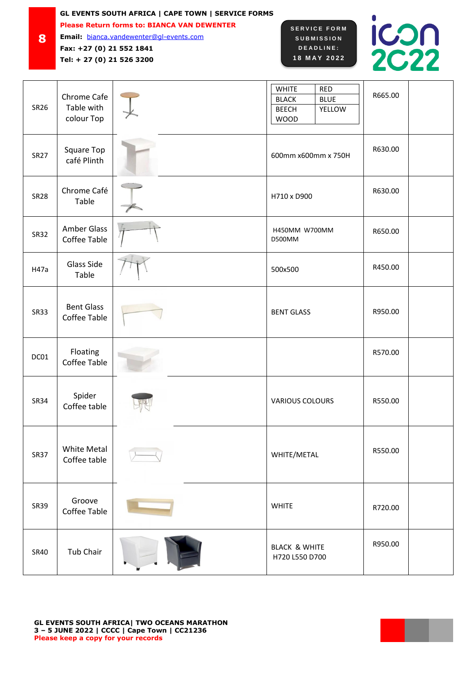**Please Return forms to: BIANCA VAN DEWENTER**

**8 Email:** [bianca.vandewenter@gl-events.com](mailto:bianca.vandewenter@gl-events.com) **Fax: +27 (0) 21 552 1841**

**Tel: + 27 (0) 21 526 3200**

 **S E R V I C E F O R M S U B M I S S I O N D E A D L I N E : 1 8 M A Y 202 2**



| <b>SR26</b> | Chrome Cafe<br>Table with<br>colour Top | <b>WHITE</b><br><b>RED</b><br><b>BLACK</b><br><b>BLUE</b><br><b>BEECH</b><br>YELLOW<br><b>WOOD</b> | R665.00 |
|-------------|-----------------------------------------|----------------------------------------------------------------------------------------------------|---------|
| <b>SR27</b> | Square Top<br>café Plinth               | 600mm x600mm x 750H                                                                                | R630.00 |
| <b>SR28</b> | Chrome Café<br>Table                    | H710 x D900                                                                                        | R630.00 |
| <b>SR32</b> | Amber Glass<br>Coffee Table             | H450MM W700MM<br>D500MM                                                                            | R650.00 |
| H47a        | Glass Side<br>Table                     | 500x500                                                                                            | R450.00 |
| <b>SR33</b> | <b>Bent Glass</b><br>Coffee Table       | <b>BENT GLASS</b>                                                                                  | R950.00 |
| DC01        | Floating<br>Coffee Table                |                                                                                                    | R570.00 |
| <b>SR34</b> | Spider<br>Coffee table                  | VARIOUS COLOURS                                                                                    | R550.00 |
| <b>SR37</b> | White Metal<br>Coffee table             | WHITE/METAL                                                                                        | R550.00 |
| <b>SR39</b> | Groove<br>Coffee Table                  | <b>WHITE</b>                                                                                       | R720.00 |
| <b>SR40</b> | Tub Chair                               | <b>BLACK &amp; WHITE</b><br>H720 L550 D700                                                         | R950.00 |

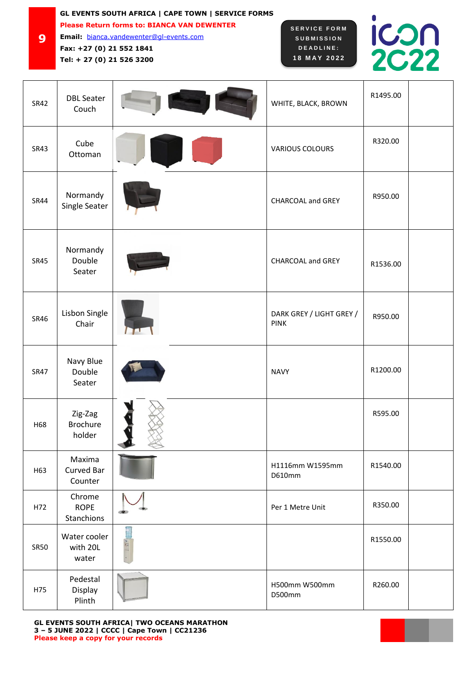**Please Return forms to: BIANCA VAN DEWENTER**

**9 Email:** [bianca.vandewenter@gl-events.com](mailto:bianca.vandewenter@gl-events.com)

> **Fax: +27 (0) 21 552 1841 Tel: + 27 (0) 21 526 3200**

 **S E R V I C E F O R M S U B M I S S I O N D E A D L I N E : 1 8 M A Y 202 2**



| SR42        | <b>DBL Seater</b><br>Couch           | WHITE, BLACK, BROWN                     | R1495.00 |  |
|-------------|--------------------------------------|-----------------------------------------|----------|--|
| SR43        | Cube<br>Ottoman                      | <b>VARIOUS COLOURS</b>                  | R320.00  |  |
| <b>SR44</b> | Normandy<br>Single Seater            | CHARCOAL and GREY                       | R950.00  |  |
| <b>SR45</b> | Normandy<br>Double<br>Seater         | CHARCOAL and GREY                       | R1536.00 |  |
| SR46        | Lisbon Single<br>Chair               | DARK GREY / LIGHT GREY /<br><b>PINK</b> | R950.00  |  |
| <b>SR47</b> | Navy Blue<br>Double<br>Seater        | <b>NAVY</b>                             | R1200.00 |  |
| H68         | Zig-Zag<br><b>Brochure</b><br>holder |                                         | R595.00  |  |
| H63         | Maxima<br>Curved Bar<br>Counter      | H1116mm W1595mm<br>D610mm               | R1540.00 |  |
| H72         | Chrome<br><b>ROPE</b><br>Stanchions  | Per 1 Metre Unit                        | R350.00  |  |
| <b>SR50</b> | Water cooler<br>with 20L<br>water    |                                         | R1550.00 |  |
| H75         | Pedestal<br>Display<br>Plinth        | H500mm W500mm<br>D500mm                 | R260.00  |  |

**GL EVENTS SOUTH AFRICA| TWO OCEANS MARATHON 3 – 5 JUNE 2022 | CCCC | Cape Town | CC21236 Please keep a copy for your records**

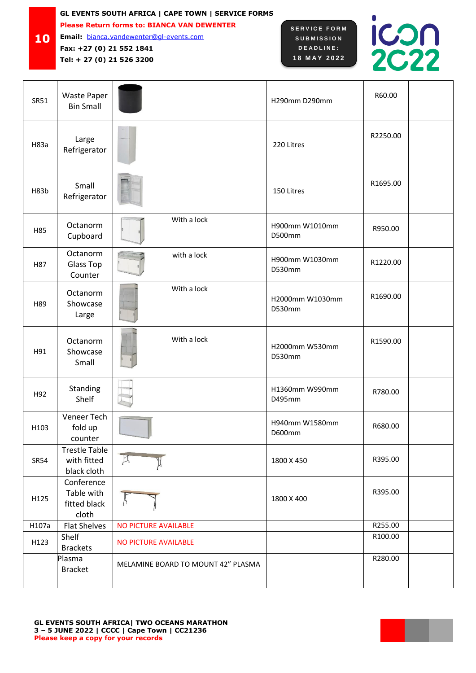**Please Return forms to: BIANCA VAN DEWENTER**

**10 Email:** [bianca.vandewenter@gl-events.com](mailto:bianca.vandewenter@gl-events.com) **Fax: +27 (0) 21 552 1841**

**Tel: + 27 (0) 21 526 3200**

 **S E R V I C E F O R M S U B M I S S I O N D E A D L I N E : 1 8 M A Y 202 2**



| SR51        | <b>Waste Paper</b><br><b>Bin Small</b>             |                                    | H290mm D290mm             | R60.00   |  |
|-------------|----------------------------------------------------|------------------------------------|---------------------------|----------|--|
| H83a        | Large<br>Refrigerator                              |                                    | 220 Litres                | R2250.00 |  |
| H83b        | Small<br>Refrigerator                              |                                    | 150 Litres                | R1695.00 |  |
| H85         | Octanorm<br>Cupboard                               | With a lock                        | H900mm W1010mm<br>D500mm  | R950.00  |  |
| H87         | Octanorm<br><b>Glass Top</b><br>Counter            | with a lock                        | H900mm W1030mm<br>D530mm  | R1220.00 |  |
| H89         | Octanorm<br>Showcase<br>Large                      | With a lock                        | H2000mm W1030mm<br>D530mm | R1690.00 |  |
| H91         | Octanorm<br>Showcase<br>Small                      | With a lock                        | H2000mm W530mm<br>D530mm  | R1590.00 |  |
| H92         | Standing<br>Shelf                                  |                                    | H1360mm W990mm<br>D495mm  | R780.00  |  |
| H103        | Veneer Tech<br>fold up<br>counter                  |                                    | H940mm W1580mm<br>D600mm  | R680.00  |  |
| <b>SR54</b> | <b>Trestle Table</b><br>with fitted<br>black cloth | Д                                  | 1800 X 450                | R395.00  |  |
| H125        | Conference<br>Table with<br>fitted black<br>cloth  |                                    | 1800 X 400                | R395.00  |  |
| H107a       | <b>Flat Shelves</b>                                | NO PICTURE AVAILABLE               |                           | R255.00  |  |
| H123        | Shelf<br><b>Brackets</b>                           | <b>NO PICTURE AVAILABLE</b>        |                           | R100.00  |  |
|             | Plasma<br><b>Bracket</b>                           | MELAMINE BOARD TO MOUNT 42" PLASMA |                           | R280.00  |  |
|             |                                                    |                                    |                           |          |  |

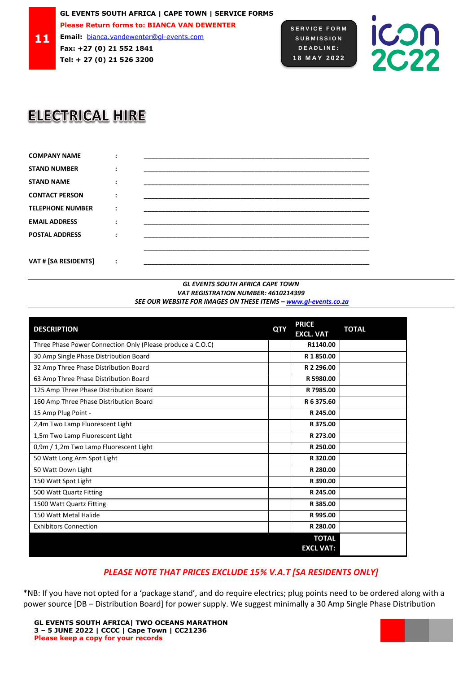**Email:** [bianca.vandewenter@gl-events.com](mailto:bianca.vandewenter@gl-events.com)

**Fax: +27 (0) 21 552 1841 Tel: + 27 (0) 21 526 3200**





### **ELECTRICAL HIRE**

**11**

| <b>COMPANY NAME</b>     |  |
|-------------------------|--|
| <b>STAND NUMBER</b>     |  |
| <b>STAND NAME</b>       |  |
| <b>CONTACT PERSON</b>   |  |
| <b>TELEPHONE NUMBER</b> |  |
| <b>EMAIL ADDRESS</b>    |  |
| <b>POSTAL ADDRESS</b>   |  |
|                         |  |
| VAT # [SA RESIDENTS]    |  |

#### *GL EVENTS SOUTH AFRICA CAPE TOWN VAT REGISTRATION NUMBER: 4610214399 SEE OUR WEBSITE FOR IMAGES ON THESE ITEMS – [www.gl-events.co.za](http://www.gl-events.co.za/)*

| <b>DESCRIPTION</b>                                         | <b>QTY</b> | <b>PRICE</b><br><b>EXCL. VAT</b> | <b>TOTAL</b> |
|------------------------------------------------------------|------------|----------------------------------|--------------|
| Three Phase Power Connection Only (Please produce a C.O.C) |            | R1140.00                         |              |
| 30 Amp Single Phase Distribution Board                     |            | R 1850.00                        |              |
| 32 Amp Three Phase Distribution Board                      |            | R 2 296.00                       |              |
| 63 Amp Three Phase Distribution Board                      |            | R 5980.00                        |              |
| 125 Amp Three Phase Distribution Board                     |            | R 7985.00                        |              |
| 160 Amp Three Phase Distribution Board                     |            | R 6 375.60                       |              |
| 15 Amp Plug Point -                                        |            | R 245.00                         |              |
| 2,4m Two Lamp Fluorescent Light                            |            | R 375.00                         |              |
| 1,5m Two Lamp Fluorescent Light                            |            | R 273.00                         |              |
| 0,9m / 1,2m Two Lamp Fluorescent Light                     |            | R 250.00                         |              |
| 50 Watt Long Arm Spot Light                                |            | R 320.00                         |              |
| 50 Watt Down Light                                         |            | R 280.00                         |              |
| 150 Watt Spot Light                                        |            | R 390.00                         |              |
| 500 Watt Quartz Fitting                                    |            | R 245.00                         |              |
| 1500 Watt Quartz Fitting                                   |            | R 385.00                         |              |
| 150 Watt Metal Halide                                      |            | R 995.00                         |              |
| <b>Exhibitors Connection</b>                               |            | R 280.00                         |              |
|                                                            |            | <b>TOTAL</b>                     |              |
|                                                            |            | <b>EXCL VAT:</b>                 |              |

### *PLEASE NOTE THAT PRICES EXCLUDE 15% V.A.T [SA RESIDENTS ONLY]*

\*NB: If you have not opted for a 'package stand', and do require electrics; plug points need to be ordered along with a power source [DB – Distribution Board] for power supply. We suggest minimally a 30 Amp Single Phase Distribution

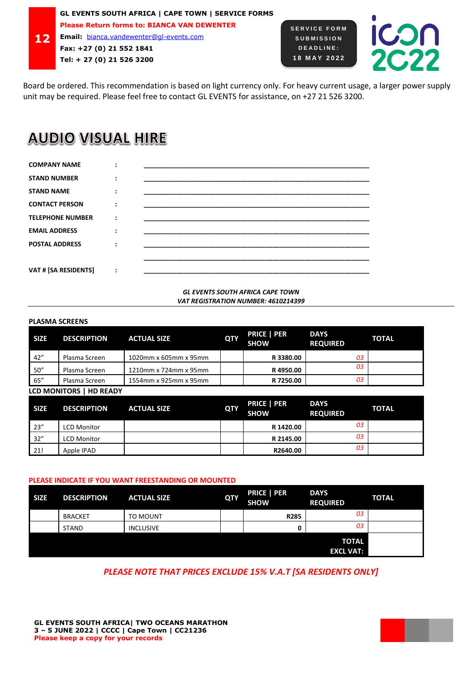**12 Email:** [bianca.vandewenter@gl-events.com](mailto:bianca.vandewenter@gl-events.com) **Fax: +27 (0) 21 552 1841 Tel: + 27 (0) 21 526 3200**

 **S E R V I C E F O R M S U B M I S S I O N D E A D L I N E : 1 8 M A Y 202 2**



Board be ordered. This recommendation is based on light currency only. For heavy current usage, a larger power supply unit may be required. Please feel free to contact GL EVENTS for assistance, on +27 21 526 3200.

## **AUDIO VISUAL HIRE**

| <b>COMPANY NAME</b>     | ٠<br>$\blacksquare$ |  |
|-------------------------|---------------------|--|
| <b>STAND NUMBER</b>     | ٠<br>$\bullet$      |  |
| <b>STAND NAME</b>       | ٠<br>$\blacksquare$ |  |
| <b>CONTACT PERSON</b>   | ٠<br>$\blacksquare$ |  |
| <b>TELEPHONE NUMBER</b> | ٠<br>$\sim$         |  |
| <b>EMAIL ADDRESS</b>    | ٠<br>$\bullet$      |  |
| <b>POSTAL ADDRESS</b>   | ٠<br>$\bullet$      |  |
|                         |                     |  |
| VAT # [SA RESIDENTS]    | $\ddot{\cdot}$      |  |
|                         |                     |  |

### *GL EVENTS SOUTH AFRICA CAPE TOWN VAT REGISTRATION NUMBER: 4610214399*

### **PLASMA SCREENS**

| <b>SIZE</b>                              | <b>DESCRIPTION</b> | <b>ACTUAL SIZE</b>    | <b>QTY</b> | <b>PRICE   PER</b><br><b>SHOW</b> | <b>DAYS</b><br><b>REQUIRED</b> | <b>TOTAL</b> |
|------------------------------------------|--------------------|-----------------------|------------|-----------------------------------|--------------------------------|--------------|
| 42"                                      | Plasma Screen      | 1020mm x 605mm x 95mm |            | R 3380.00                         | 03                             |              |
| 50''                                     | Plasma Screen      | 1210mm x 724mm x 95mm |            | R4950.00                          | 03                             |              |
| 65"                                      | Plasma Screen      | 1554mm x 925mm x 95mm |            | R 7250.00                         | 03                             |              |
| <b>LCD MONITORS  </b><br><b>HD READY</b> |                    |                       |            |                                   |                                |              |

| <b>SIZE</b> | <b>DESCRIPTION</b> | <b>ACTUAL SIZE</b> | <b>QTY</b> | <b>PRICE   PER</b><br><b>SHOW</b> | <b>DAYS</b><br><b>REQUIRED</b> | <b>TOTAL</b> |
|-------------|--------------------|--------------------|------------|-----------------------------------|--------------------------------|--------------|
| 23''        | <b>LCD Monitor</b> |                    |            | R 1420.00                         | 03                             |              |
| 32''        | <b>LCD Monitor</b> |                    |            | R 2145.00                         | 03                             |              |
| 21!         | Apple IPAD         |                    |            | R2640.00                          | 03                             |              |

### **PLEASE INDICATE IF YOU WANT FREESTANDING OR MOUNTED**

| <b>SIZE</b> | <b>DESCRIPTION</b> | <b>ACTUAL SIZE</b> | QTY | <b>PRICE   PER</b><br><b>SHOW</b> | <b>DAYS</b><br><b>REQUIRED</b>   | <b>TOTAL</b> |
|-------------|--------------------|--------------------|-----|-----------------------------------|----------------------------------|--------------|
|             | <b>BRACKET</b>     | TO MOUNT           |     | <b>R285</b>                       | 03                               |              |
|             | <b>STAND</b>       | <b>INCLUSIVE</b>   |     |                                   | 03                               |              |
|             |                    |                    |     |                                   | <b>TOTAL</b><br><b>EXCL VAT:</b> |              |

*PLEASE NOTE THAT PRICES EXCLUDE 15% V.A.T [SA RESIDENTS ONLY]*

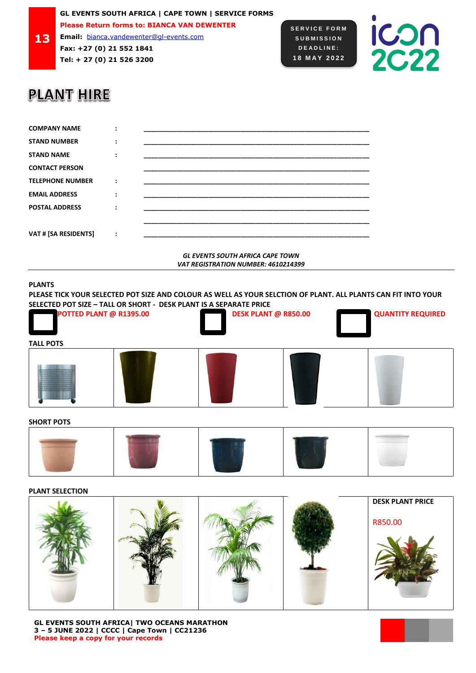**13 Email:** [bianca.vandewenter@gl-events.com](mailto:bianca.vandewenter@gl-events.com) **Fax: +27 (0) 21 552 1841 Tel: + 27 (0) 21 526 3200**





### **PLANT HIRE**

| <b>COMPANY NAME</b>     |                        |  |  |  |
|-------------------------|------------------------|--|--|--|
| <b>STAND NUMBER</b>     | $\ddot{\cdot}$         |  |  |  |
| <b>STAND NAME</b>       | $\ddot{\cdot}$         |  |  |  |
| <b>CONTACT PERSON</b>   |                        |  |  |  |
| <b>TELEPHONE NUMBER</b> | $\ddot{\cdot}$         |  |  |  |
| <b>EMAIL ADDRESS</b>    | $\bullet$<br>$\bullet$ |  |  |  |
| <b>POSTAL ADDRESS</b>   | $\blacksquare$         |  |  |  |
|                         |                        |  |  |  |
| VAT # [SA RESIDENTS]    | $\ddot{\cdot}$         |  |  |  |
|                         |                        |  |  |  |

*GL EVENTS SOUTH AFRICA CAPE TOWN VAT REGISTRATION NUMBER: 4610214399*

### **PLANTS**

**PLEASE TICK YOUR SELECTED POT SIZE AND COLOUR AS WELL AS YOUR SELCTION OF PLANT. ALL PLANTS CAN FIT INTO YOUR SELECTED POT SIZE – TALL OR SHORT - DESK PLANT IS A SEPARATE PRICE**

| POTTED PLANT @ R1395.00 |  | <b>DESK PLANT @ R850.00</b> |  |  |
|-------------------------|--|-----------------------------|--|--|
| <b>TALL POTS</b>        |  |                             |  |  |
|                         |  |                             |  |  |
| <b>SHORT POTS</b>       |  |                             |  |  |
|                         |  |                             |  |  |

#### **PLANT SELECTION**



**GL EVENTS SOUTH AFRICA| TWO OCEANS MARATHON 3 – 5 JUNE 2022 | CCCC | Cape Town | CC21236 Please keep a copy for your records**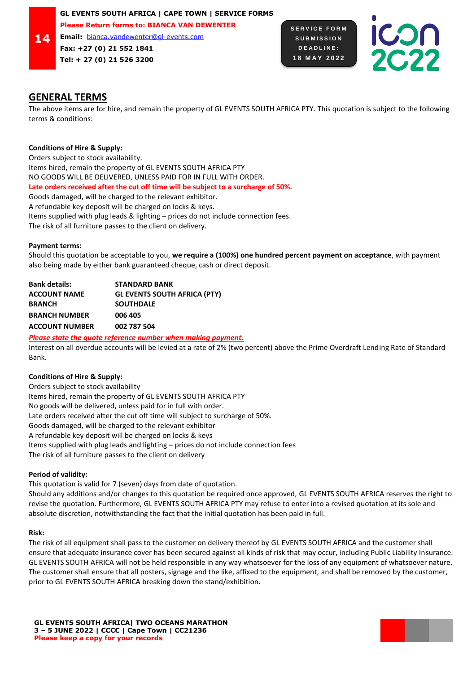**Please Return forms to: BIANCA VAN DEWENTER**

**14 Email:** [bianca.vandewenter@gl-events.com](mailto:bianca.vandewenter@gl-events.com) **Fax: +27 (0) 21 552 1841**

**Tel: + 27 (0) 21 526 3200**



**ICON<br>2C22** 

### **GENERAL TERMS**

The above items are for hire, and remain the property of GL EVENTS SOUTH AFRICA PTY. This quotation is subject to the following terms & conditions:

### **Conditions of Hire & Supply:**

Orders subject to stock availability. Items hired, remain the property of GL EVENTS SOUTH AFRICA PTY NO GOODS WILL BE DELIVERED, UNLESS PAID FOR IN FULL WITH ORDER. **Late orders received after the cut off time will be subject to a surcharge of 50%.** Goods damaged, will be charged to the relevant exhibitor. A refundable key deposit will be charged on locks & keys. Items supplied with plug leads & lighting – prices do not include connection fees.

The risk of all furniture passes to the client on delivery.

### **Payment terms:**

Should this quotation be acceptable to you, **we require a (100%) one hundred percent payment on acceptance**, with payment also being made by either bank guaranteed cheque, cash or direct deposit.

| <b>Bank details:</b> | <b>STANDARD BANK</b>                |
|----------------------|-------------------------------------|
| ACCOUNT NAME         | <b>GL EVENTS SOUTH AFRICA (PTY)</b> |
| <b>BRANCH</b>        | <b>SOUTHDALE</b>                    |
| <b>BRANCH NUMBER</b> | 006 405                             |
| ACCOUNT NUMBER       | 002 787 504                         |
|                      |                                     |

*Please state the quote reference number when making payment.*

Interest on all overdue accounts will be levied at a rate of 2% (two percent) above the Prime Overdraft Lending Rate of Standard Bank.

### **Conditions of Hire & Supply:**

Orders subject to stock availability Items hired, remain the property of GL EVENTS SOUTH AFRICA PTY No goods will be delivered, unless paid for in full with order. Late orders received after the cut off time will subject to surcharge of 50%. Goods damaged, will be charged to the relevant exhibitor A refundable key deposit will be charged on locks & keys Items supplied with plug leads and lighting – prices do not include connection fees The risk of all furniture passes to the client on delivery

### **Period of validity:**

This quotation is valid for 7 (seven) days from date of quotation. Should any additions and/or changes to this quotation be required once approved, GL EVENTS SOUTH AFRICA reserves the right to revise the quotation. Furthermore, GL EVENTS SOUTH AFRICA PTY may refuse to enter into a revised quotation at its sole and absolute discretion, notwithstanding the fact that the initial quotation has been paid in full.

### **Risk:**

The risk of all equipment shall pass to the customer on delivery thereof by GL EVENTS SOUTH AFRICA and the customer shall ensure that adequate insurance cover has been secured against all kinds of risk that may occur, including Public Liability Insurance. GL EVENTS SOUTH AFRICA will not be held responsible in any way whatsoever for the loss of any equipment of whatsoever nature. The customer shall ensure that all posters, signage and the like, affixed to the equipment, and shall be removed by the customer, prior to GL EVENTS SOUTH AFRICA breaking down the stand/exhibition.